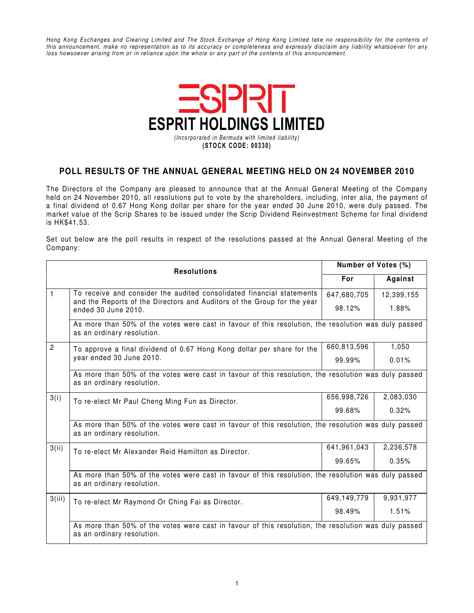Hong Kong Exchanges and Clearing Limited and The Stock Exchange of Hong Kong Limited take no responsibility for the contents of this announcement, make no representation as to its accuracy or completeness and expressly disclaim any liability whatsoever for any loss howsoever arising from or in reliance upon the whole or any part of the contents of this announcement.



## **POLL RESULTS OF THE ANNUAL GENERAL MEETING HELD ON 24 NOVEMBER 2010**

The Directors of the Company are pleased to announce that at the Annual General Meeting of the Company held on 24 November 2010, all resolutions put to vote by the shareholders, including, inter alia, the payment of a final dividend of 0.67 Hong Kong dollar per share for the year ended 30 June 2010, were duly passed. The market value of the Scrip Shares to be issued under the Scrip Dividend Reinvestment Scheme for final dividend is HK\$41.53.

Set out below are the poll results in respect of the resolutions passed at the Annual General Meeting of the Company:

|                | <b>Resolutions</b>                                                                                                                 | Number of Votes (%)                                                                                  |            |  |  |
|----------------|------------------------------------------------------------------------------------------------------------------------------------|------------------------------------------------------------------------------------------------------|------------|--|--|
|                |                                                                                                                                    | For                                                                                                  | Against    |  |  |
| $\mathbf{1}$   | To receive and consider the audited consolidated financial statements                                                              | 647,680,705                                                                                          | 12,399,155 |  |  |
|                | and the Reports of the Directors and Auditors of the Group for the year<br>ended 30 June 2010.                                     | 98.12%                                                                                               | 1.88%      |  |  |
|                | as an ordinary resolution.                                                                                                         | As more than 50% of the votes were cast in favour of this resolution, the resolution was duly passed |            |  |  |
| $\overline{2}$ | To approve a final dividend of 0.67 Hong Kong dollar per share for the<br>year ended 30 June 2010.                                 | 660,813,596                                                                                          | 1,050      |  |  |
|                |                                                                                                                                    | 99.99%                                                                                               | 0.01%      |  |  |
|                | As more than 50% of the votes were cast in favour of this resolution, the resolution was duly passed<br>as an ordinary resolution. |                                                                                                      |            |  |  |
| 3(i)           | To re-elect Mr Paul Cheng Ming Fun as Director.                                                                                    | 656,998,726                                                                                          | 2,083,030  |  |  |
|                |                                                                                                                                    | 99.68%                                                                                               | 0.32%      |  |  |
|                | As more than 50% of the votes were cast in favour of this resolution, the resolution was duly passed<br>as an ordinary resolution. |                                                                                                      |            |  |  |
| 3(ii)          | To re-elect Mr Alexander Reid Hamilton as Director.                                                                                | 641,961,043                                                                                          | 2,236,578  |  |  |
|                |                                                                                                                                    | 99.65%                                                                                               | 0.35%      |  |  |
|                | As more than 50% of the votes were cast in favour of this resolution, the resolution was duly passed<br>as an ordinary resolution. |                                                                                                      |            |  |  |
| 3(iii)         | To re-elect Mr Raymond Or Ching Fai as Director.                                                                                   | 649,149,779                                                                                          | 9,931,977  |  |  |
|                |                                                                                                                                    | 98.49%                                                                                               | 1.51%      |  |  |
|                | As more than 50% of the votes were cast in favour of this resolution, the resolution was duly passed<br>as an ordinary resolution. |                                                                                                      |            |  |  |